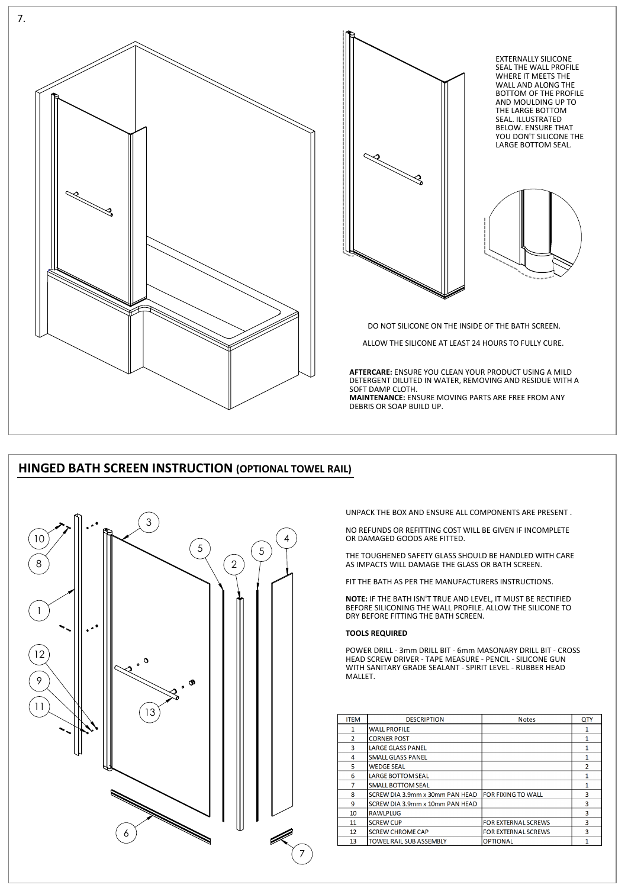

# **HINGED BATH SCREEN INSTRUCTION (OPTIONAL TOWEL RAIL)**

UNPACK THE BOX AND ENSURE ALL COMPONENTS ARE PRESENT .

NO REFUNDS OR REFITTING COST WILL BE GIVEN IF INCOMPLETE OR DAMAGED GOODS ARE FITTED.

THE TOUGHENED SAFETY GLASS SHOULD BE HANDLED WITH CARE AS IMPACTS WILL DAMAGE THE GLASS OR BATH SCREEN.

FIT THE BATH AS PER THE MANUFACTURERS INSTRUCTIONS.

**NOTE:** IF THE BATH ISN'T TRUE AND LEVEL, IT MUST BE RECTIFIED BEFORE SILICONING THE WALL PROFILE. ALLOW THE SILICONE TO DRY BEFORE FITTING THE BATH SCREEN.

# **TOOLS REQUIRED**

POWER DRILL - 3mm DRILL BIT - 6mm MASONARY DRILL BIT - CROSS HEAD SCREW DRIVER - TAPE MEASURE - PENCIL - SILICONE GUN WITH SANITARY GRADE SEALANT - SPIRIT LEVEL - RUBBER HEAD

### MALLET.

| <b>ITEM</b>    | <b>DESCRIPTION</b>              | <b>Notes</b>               | QTY |
|----------------|---------------------------------|----------------------------|-----|
| 1              | <b>WALL PROFILE</b>             |                            | 1   |
| $\overline{2}$ | <b>CORNER POST</b>              |                            |     |
| 3              | <b>LARGE GLASS PANEL</b>        |                            | 1   |
| 4              | <b>SMALL GLASS PANEL</b>        |                            | 1   |
| 5              | <b>WEDGE SEAL</b>               |                            | 2   |
| 6              | LARGE BOTTOM SEAL               |                            | 1   |
| 7              | <b>SMALL BOTTOM SEAL</b>        |                            | 1   |
| 8              | SCREW DIA 3.9mm x 30mm PAN HEAD | lfor fixing to WALL        | 3   |
| 9              | SCREW DIA 3.9mm x 10mm PAN HEAD |                            | 3   |
| 10             | <b>RAWLPLUG</b>                 |                            | 3   |
| 11             | <b>SCREW CUP</b>                | <b>FOR EXTERNAL SCREWS</b> | 3   |
| 12             | <b>SCREW CHROME CAP</b>         | <b>FOR EXTERNAL SCREWS</b> | 3   |
| 13             | <b>TOWEL RAIL SUB ASSEMBLY</b>  | <b>OPTIONAL</b>            |     |





EXTERNALLY SILICONE SEAL THE WALL PROFILE WHERE IT MEETS THE WALL AND ALONG THE BOTTOM OF THE PROFILE AND MOULDING UP TO THE LARGE BOTTOM SEAL. ILLUSTRATED BELOW. ENSURE THAT YOU DON'T SILICONE THE LARGE BOTTOM SEAL.



DO NOT SILICONE ON THE INSIDE OF THE BATH SCREEN.

ALLOW THE SILICONE AT LEAST 24 HOURS TO FULLY CURE.

**AFTERCARE:** ENSURE YOU CLEAN YOUR PRODUCT USING A MILD DETERGENT DILUTED IN WATER, REMOVING AND RESIDUE WITH A SOFT DAMP CLOTH. **MAINTENANCE:** ENSURE MOVING PARTS ARE FREE FROM ANY

DEBRIS OR SOAP BUILD UP.